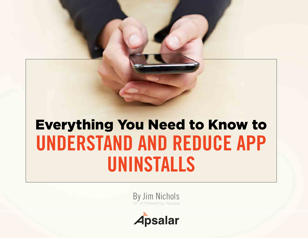# **UNDERSTAND AND REDUCE APP UNINSTALLS** Everything You Need to Know to

By Jim Nichols VP of Marketing, Apsalar

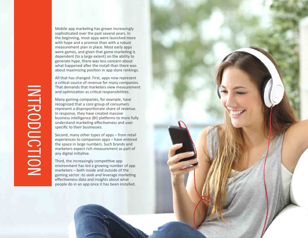Mobile app marketing has grown increasingly sophisticated over the past several years. In the beginning, most apps were launched more with hope and a promise than with a robust measurement plan in place. Most early apps were games, and given that game marketing is dependent (to a large extent) on the ability to generate hype, there was less concern about what happened after the install than there was about maximizing position in app store rankings.

All that has changed. First, apps now represent a critical source of revenue for many companies. That demands that marketers view measurement and optimization as critical responsibilities.

Many gaming companies, for example, have recognized that a core group of consumers represent a disproportionate share of revenue. In response, they have created massive business intelligence (BI) platforms to more fully understand marketing effectiveness and user specific to their businesses.

Second, many other types of apps – from retail experiences to companion apps – have entered the space in large numbers. Such brands and marketers expect rich measurement as part of any digital initiative.

Third, the increasingly competitive app environment has led a growing number of app marketers – both inside and outside of the gaming sector -to seek and leverage marketing effectiveness data and insights about what people do in an app once it has been installed.

INTRODUCTION INTRODUCTION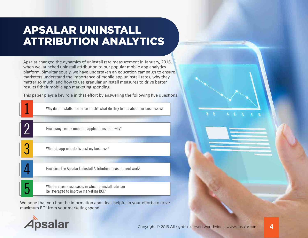# APSALAR UNINSTALL ATTRIBUTION ANALYTICS

Apsalar changed the dynamics of uninstall rate measurement in January, 2016, when we launched uninstall attribution to our popular mobile app analytics platform. Simultaneously, we have undertaken an education campaign to ensure marketers understand the importance of mobile app uninstall rates, why they matter so much, and how to use granular uninstall measures to drive better results from their mobile app marketing spending.

This paper plays a key role in that effort by answering the following five questions:

| Why do uninstalls matter so much? What do they tell us about our businesses?                  |
|-----------------------------------------------------------------------------------------------|
| How many people uninstall applications, and why?                                              |
| What do app uninstalls cost my business?                                                      |
| How does the Apsalar Uninstall Attribution measurement work?                                  |
| What are some use cases in which uninstall rate can<br>be leveraged to improve marketing ROI? |

We hope that you find the information and ideas helpful in your efforts to drive maximum ROI from your marketing spend.

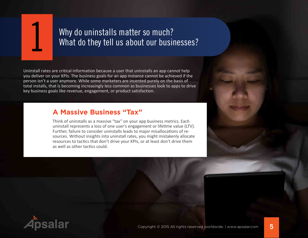

# Why do uninstalls matter so much?<br>What do they tell us about our businesses?

Uninstall rates are critical information because a user that uninstalls an app cannot help you deliver on your KPIs. The business goals for an app instance cannot be achieved if the person isn't a user anymore. While some marketers are incented purely on the basis of total installs, that is becoming increasingly less common as businesses look to apps to drive key business goals like revenue, engagement, or product satisfaction.

#### **A Massive Business "Tax"**

Think of uninstalls as a massive "tax" on your app business metrics. Each uninstall represents a loss of one user's engagement or lifetime value (LTV). Further, failure to consider uninstalls leads to major misallocations of resources. Without insights into uninstall rates, you might mistakenly allocate resources to tactics that don't drive your KPIs, or at least don't drive them as well as other tactics could.

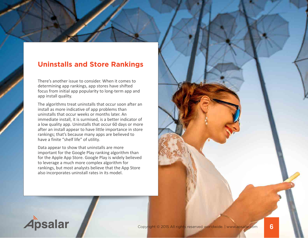#### **Uninstalls and Store Rankings**

There's another issue to consider. When it comes to determining app rankings, app stores have shifted focus from initial app popularity to long-term app and app install quality.

The algorithms treat uninstalls that occur soon after an install as more indicative of app problems than uninstalls that occur weeks or months later. An immediate install, it is surmised, is a better indicator of a low quality app. Uninstalls that occur 60 days or more after an install appear to have little importance in store rankings; that's because many apps are believed to have a finite "shelf life" of utility.

Data appear to show that uninstalls are more important for the Google Play ranking algorithm than for the Apple App Store. Google Play is widely believed to leverage a much more complex algorithm for rankings, but most analysts believe that the App Store also incorporates uninstall rates in its model.

**Apsalar** 

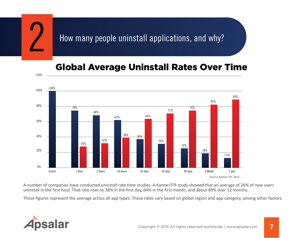

## Global Average Uninstall Rates Over Time



A number of companies have conducted uninstall rate time studies. A Kantar/ITR study showed that an average of 26% of new users uninstall in the first hour. That rate rises to 38% in the first day, 64% in the first month, and about 89% over 12 months.

Those figures represent the average across all app types. These rates vary based on global region and app category, among other factors.

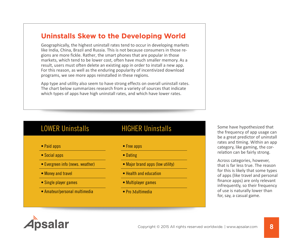### **Uninstalls Skew to the Developing World**

Geographically, the highest uninstall rates tend to occur in developing markets like India, China, Brazil and Russia. This is not because consumers in those regions are more fickle. Rather, the smart phones that are popular in those markets, which tend to be lower cost, often have much smaller memory. As a result, users must often delete an existing app in order to install a new app. For this reason, as well as the enduring popularity of incentivized download programs, we see more apps reinstalled in these regions.

App type and utility also seem to have strong effects on overall uninstall rates. The chart below summarizes research from a variety of sources that indicate which types of apps have high uninstall rates, and which have lower rates.

- Social apps Dating
- Evergreen info (news. weather) Major brand apps (low utility)
- 
- Single player games Multiplayer games
- Amateur/personal multimedia Pro Multimedia

• Paid apps • Free apps

- 
- 
- Money and travel Health and education
	-
	-

LOWER Uninstalls HIGHER Uninstalls Some have hypothesized that the frequency of app usage can be a great predictor of uninstall rates and timing. Within an app category, like gaming, the correlation can be fairly strong.

> Across categories, however, that is far less true. The reason for this is likely that some types of apps (like travel and personal finance apps) are only relevant infrequently, so their frequency of use is naturally lower than for, say, a casual game.

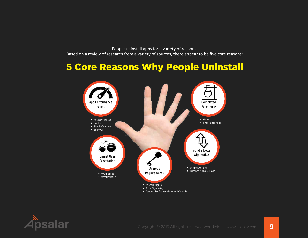People uninstall apps for a variety of reasons. Based on a review of research from a variety of sources, there appear to be five core reasons:

# 5 Core Reasons Why People Uninstall



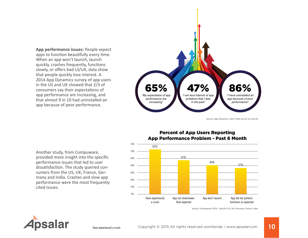**App performance issues:** People expect apps to function beautifully every time. When an app won't launch, launch quickly, crashes frequently, functions slowly, or offers bad UI/UX, data show that people quickly lose interest. A 2014 App Dynamics survey of app users in the US and UK showed that 2/3 of consumers say their expectations of app performance are increasing, and that almost 9 in 10 had uninstalled an app because of poor performance.



Source: App Dynamics, 2014. Data are for US and UK.

Another study, from Compuware, provided more insight into the specific performance issues that led to user dissatisfaction. The study queried consumers from the US, UK, France, Germany and India. Crashes and slow app performance were the most frequently cited issues.

Have experienced a crash

#### Percent of App Users Reporting App Performance Problem - Past 6 Month



Source: Compuware 2014 - Data for US, UK, Germany, France, India

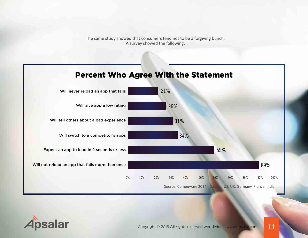The same study showed that consumers tend not to be a forgiving bunch. A survey showed the following:

### Percent Who Agree With the Statement



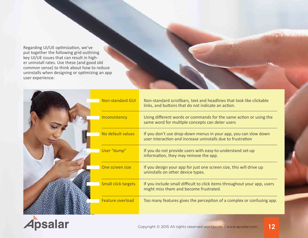Regarding UI/UE optimization, we've put together the following grid outlining key UI/UE issues that can result in higher uninstall rates. Use these (and good old common sense) to think about how to reduce uninstalls when designing or optimizing an app user experience:

| <b>Non-standard GUI</b>    | Non-standard scrollbars, text and headlines that look like clickable<br>links, and buttons that do not indicate an action.     |
|----------------------------|--------------------------------------------------------------------------------------------------------------------------------|
| Inconsistency              | Using different words or commands for the same action or using the<br>same word for multiple concepts can deter users          |
| No default values          | If you don't use drop-down menus in your app, you can slow down<br>user interaction and increase uninstalls due to frustration |
| User "dump"                | If you do not provide users with easy-to-understand set-up<br>information, they may remove the app.                            |
| One screen size            | If you design your app for just one screen size, this will drive up<br>uninstalls on other device types.                       |
| <b>Small click targets</b> | If you include small difficult to click items throughout your app, users<br>might miss them and become frustrated.             |
| Feature overload           | Too many features gives the perception of a complex or confusing app.                                                          |

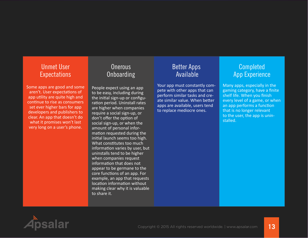#### Unmet User **Expectations**

Some apps are good and some aren't. User expectations of app utility are quite high and continue to rise as consumers set ever higher bars for app developers and publishers to clear. An app that doesn't do what it promises won't last very long on a user's phone.

### **Onerous** Onboarding

People expect using an app to be easy, including during the initial sign-up or configuration period. Uninstall rates are higher when companies require a social sign-up, or don't offer the option of social sign-up, or when the amount of personal information requested during the initial launch seems too high. What constitutes too much information varies by user, but uninstalls tend to be higher when companies request information that does not appear to be germane to the core functions of an app. For example, an app that requests location information without making clear why it is valuable to share it.

#### Better Apps Available

Your app must constantly compete with other apps that can perform similar tasks and create similar value. When better apps are available, users tend to replace mediocre ones.

#### Completed App Experience

Many apps, especially in the gaming category, have a finite shelf life. When you finish every level of a game, or when an app performs a function that is no longer relevant to the user, the app is uninstalled.

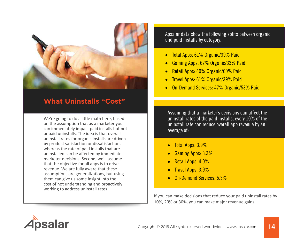

### **What Uninstalls "Cost"**

We're going to do a little math here, based on the assumption that as a marketer you can immediately impact paid installs but not unpaid uninstalls. The idea is that overall uninstall rates for organic installs are driven by product satisfaction or dissatisfaction, whereas the rate of paid installs that are uninstalled can be affected by immediate marketer decisions. Second, we'll assume that the objective for all apps is to drive revenue. We are fully aware that these assumptions are generalizations, but using them can give us some insight into the cost of not understanding and proactively working to address uninstall rates.

Apsalar data show the following splits between organic and paid installs by category:

- Total Apps: 61% Organic/39% Paid
- Gaming Apps: 67% Organic/33% Paid
- Retail Apps: 40% Organic/60% Paid
- Travel Apps: 61% Organic/39% Paid
- **On-Demand Services: 47% Organic/53% Paid**

Assuming that a marketer's decisions can affect the uninstall rates of the paid installs, every 10% of the uninstall rate can reduce overall app revenue by an average of:

- Total Apps: 3.9%
- Gaming Apps: 3.3%
- Retail Apps: 4.0%
- **Travel Apps: 3.9%**
- **On-Demand Services: 5.3%**

If you can make decisions that reduce your paid uninstall rates by 10%, 20% or 30%, you can make major revenue gains.

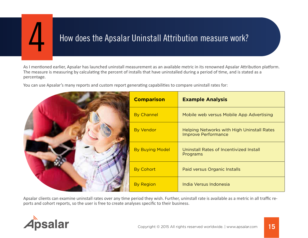

# How does the Apsalar Uninstall Attribution measure work? 4

As I mentioned earlier, Apsalar has launched uninstall measurement as an available metric in its renowned Apsalar Attribution platform. The measure is measuring by calculating the percent of installs that have uninstalled during a period of time, and is stated as a percentage.

You can use Apsalar's many reports and custom report generating capabilities to compare uninstall rates for:

| <b>Comparison</b>      | <b>Example Analysis</b>                                                  |
|------------------------|--------------------------------------------------------------------------|
| <b>By Channel</b>      | Mobile web versus Mobile App Advertising                                 |
| <b>By Vendor</b>       | Helping Networks with High Uninstall Rates<br><b>Improve Performance</b> |
| <b>By Buying Model</b> | Uninstall Rates of Incentivized Install<br>Programs                      |
| <b>By Cohort</b>       | Paid versus Organic Installs                                             |
| <b>By Region</b>       | India Versus Indonesia                                                   |

Apsalar clients can examine uninstall rates over any time period they wish. Further, uninstall rate is available as a metric in all traffic reports and cohort reports, so the user is free to create analyses specific to their business.

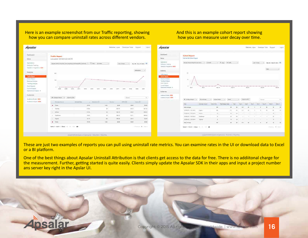#### Here is an example screenshot from our Traffic reporting, showing how you can compare uninstall rates across different vendors.

#### And this is an example cohort report showing how you can measure user decay over time.



These are just two examples of reports you can pull using uninstall rate metrics. You can examine rates in the UI or download data to Excel or a BI platform.

One of the best things about Apsalar Uninstall Attribution is that clients get access to the data for free. There is no addiitonal charge for the measurement. Further, getting started is quite easily. Clients simply update the Apsalar SDK in their apps and input a project number ans server key right in the Apslar UI.

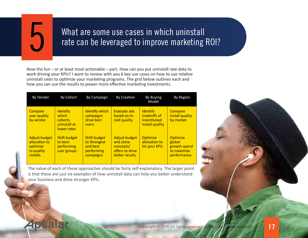

# What are some use cases in which uninstall rate can be leveraged to improve marketing ROI?

Now the fun – or at least most actionable – part. How can you put uninstall rate data to work driving your KPIs? I want to review with you 6 key use cases on how to use relative uninstall rates to optimize your marketing programs. The grid below outlines each and how you can use the results to power more effective marketing investments.

| By Vendor                                                                   | By Cohort                                                           | By Campaign                                                         | By Creative                                                                  | By Buying<br>Model                                                 | By Region                                                               |
|-----------------------------------------------------------------------------|---------------------------------------------------------------------|---------------------------------------------------------------------|------------------------------------------------------------------------------|--------------------------------------------------------------------|-------------------------------------------------------------------------|
| Compare<br>user quality<br>by vendor                                        | <b>Identify</b><br>which<br>cohorts.<br>uninstall at<br>lower rates | <b>Identify which</b><br>campaigns<br>drive best<br>users           | Evaluate ads<br>based on in-<br>stall quality                                | <b>Identify</b><br>tradeoffs of<br>incentivized<br>install quality | Compare<br>install quality<br>by market                                 |
| Adjust budget<br>allocation to<br>optimize<br>to quality<br><i>installs</i> | Shift budget<br>to best-<br>performing<br>user groups               | Shift budget<br>to Strongest<br>and best<br>performing<br>campaigns | Adjust budget<br>and clone<br>concepts/<br>offers to drive<br>better results | <b>Optimize</b><br>allocation to<br>hit your KPIs                  | <b>Optimize</b><br>global<br>growth spend<br>to maximize<br>performance |

The value of each of these approaches should be fairly self-explanatory. The larger point is that these are just six examples of how uninstall data can help you better understand your business and drive stronger KPIs.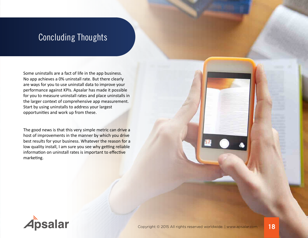# Concluding Thoughts

Some uninstalls are a fact of life in the app business. No app achieves a 0% uninstall rate. But there clearly are ways for you to use uninstall data to improve your performance against KPIs. Apsalar has made it possible for you to measure uninstall rates and place uninstalls in the larger context of comprehensive app measurement. Start by using uninstalls to address your largest opportunities and work up from these.

The good news is that this very simple metric can drive a host of improvements in the manner by which you drive best results for your business. Whatever the reason for a low quality install, I am sure you see why getting reliable information on uninstall rates is important to effective marketing.